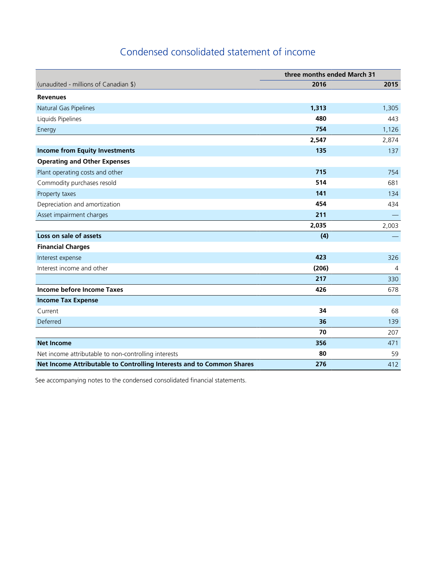## Condensed consolidated statement of income

|                                                                       | three months ended March 31 |                |
|-----------------------------------------------------------------------|-----------------------------|----------------|
| (unaudited - millions of Canadian \$)                                 | 2016                        | 2015           |
| <b>Revenues</b>                                                       |                             |                |
| Natural Gas Pipelines                                                 | 1,313                       | 1,305          |
| Liquids Pipelines                                                     | 480                         | 443            |
| Energy                                                                | 754                         | 1,126          |
|                                                                       | 2,547                       | 2,874          |
| <b>Income from Equity Investments</b>                                 | 135                         | 137            |
| <b>Operating and Other Expenses</b>                                   |                             |                |
| Plant operating costs and other                                       | 715                         | 754            |
| Commodity purchases resold                                            | 514                         | 681            |
| Property taxes                                                        | 141                         | 134            |
| Depreciation and amortization                                         | 454                         | 434            |
| Asset impairment charges                                              | 211                         |                |
|                                                                       | 2,035                       | 2,003          |
| Loss on sale of assets                                                | (4)                         |                |
| <b>Financial Charges</b>                                              |                             |                |
| Interest expense                                                      | 423                         | 326            |
| Interest income and other                                             | (206)                       | $\overline{4}$ |
|                                                                       | 217                         | 330            |
| Income before Income Taxes                                            | 426                         | 678            |
| <b>Income Tax Expense</b>                                             |                             |                |
| Current                                                               | 34                          | 68             |
| Deferred                                                              | 36                          | 139            |
|                                                                       | 70                          | 207            |
| <b>Net Income</b>                                                     | 356                         | 471            |
| Net income attributable to non-controlling interests                  | 80                          | 59             |
| Net Income Attributable to Controlling Interests and to Common Shares | 276                         | 412            |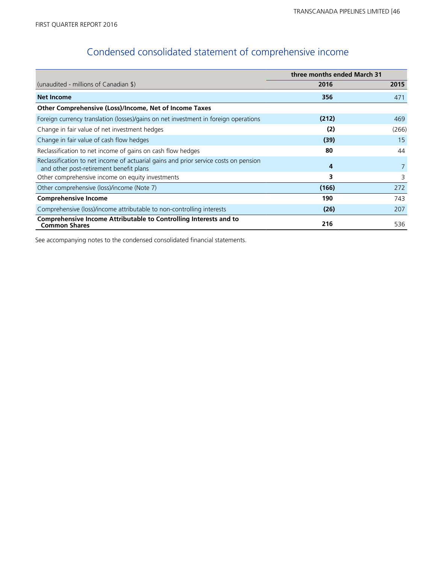# Condensed consolidated statement of comprehensive income

|                                                                                                                                 | three months ended March 31 |       |
|---------------------------------------------------------------------------------------------------------------------------------|-----------------------------|-------|
| (unaudited - millions of Canadian \$)                                                                                           | 2016                        | 2015  |
| <b>Net Income</b>                                                                                                               | 356                         | 471   |
| Other Comprehensive (Loss)/Income, Net of Income Taxes                                                                          |                             |       |
| Foreign currency translation (losses)/gains on net investment in foreign operations                                             | (212)                       | 469   |
| Change in fair value of net investment hedges                                                                                   | (2)                         | (266) |
| Change in fair value of cash flow hedges                                                                                        | (39)                        | 15    |
| Reclassification to net income of gains on cash flow hedges                                                                     | 80                          | 44    |
| Reclassification to net income of actuarial gains and prior service costs on pension<br>and other post-retirement benefit plans | 4                           |       |
| Other comprehensive income on equity investments                                                                                | 3                           | 3     |
| Other comprehensive (loss)/income (Note 7)                                                                                      | (166)                       | 272   |
| <b>Comprehensive Income</b>                                                                                                     | 190                         | 743   |
| Comprehensive (loss)/income attributable to non-controlling interests                                                           | (26)                        | 207   |
| Comprehensive Income Attributable to Controlling Interests and to<br><b>Common Shares</b>                                       | 216                         | 536   |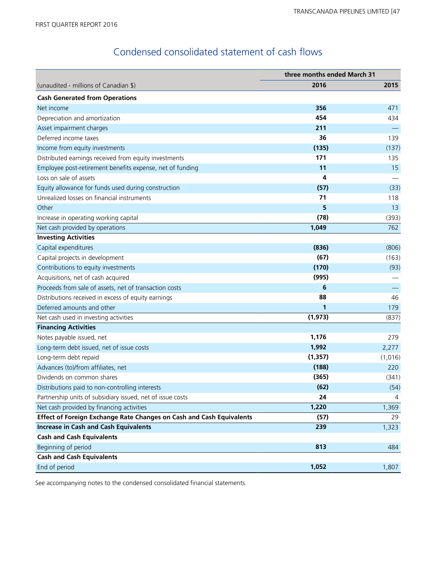## Condensed consolidated statement of cash flows

|                                                                      | three months ended March 31 |         |
|----------------------------------------------------------------------|-----------------------------|---------|
| (unaudited - millions of Canadian \$)                                | 2016                        | 2015    |
| <b>Cash Generated from Operations</b>                                |                             |         |
| Net income                                                           | 356                         | 471     |
| Depreciation and amortization                                        | 454                         | 434     |
| Asset impairment charges                                             | 211                         |         |
| Deferred income taxes                                                | 36                          | 139     |
| Income from equity investments                                       | (135)                       | (137)   |
| Distributed earnings received from equity investments                | 171                         | 135     |
| Employee post-retirement benefits expense, net of funding            | 11                          | 15      |
| Loss on sale of assets                                               | 4                           |         |
| Equity allowance for funds used during construction                  | (57)                        | (33)    |
| Unrealized losses on financial instruments                           | 71                          | 118     |
| Other                                                                | 5                           | 13      |
| Increase in operating working capital                                | (78)                        | (393)   |
| Net cash provided by operations                                      | 1,049                       | 762     |
| <b>Investing Activities</b>                                          |                             |         |
| Capital expenditures                                                 | (836)                       | (806)   |
| Capital projects in development                                      | (67)                        | (163)   |
| Contributions to equity investments                                  | (170)                       | (93)    |
| Acquisitions, net of cash acquired                                   | (995)                       |         |
| Proceeds from sale of assets, net of transaction costs               | 6                           |         |
| Distributions received in excess of equity earnings                  | 88                          | 46      |
| Deferred amounts and other                                           | 1                           | 179     |
| Net cash used in investing activities                                | (1, 973)                    | (837)   |
| <b>Financing Activities</b>                                          |                             |         |
| Notes payable issued, net                                            | 1,176                       | 279     |
| Long-term debt issued, net of issue costs                            | 1,992                       | 2,277   |
| Long-term debt repaid                                                | (1, 357)                    | (1,016) |
| Advances (to)/from affiliates, net                                   | (188)                       | 220     |
| Dividends on common shares                                           | (365)                       | (341)   |
| Distributions paid to non-controlling interests                      | (62)                        | (54)    |
| Partnership units of subsidiary issued, net of issue costs           | 24                          | 4       |
| Net cash provided by financing activities                            | 1,220                       | 1,369   |
| Effect of Foreign Exchange Rate Changes on Cash and Cash Equivalents | (57)                        | 29      |
| <b>Increase in Cash and Cash Equivalents</b>                         | 239                         | 1,323   |
| <b>Cash and Cash Equivalents</b>                                     |                             |         |
| Beginning of period                                                  | 813                         | 484     |
| <b>Cash and Cash Equivalents</b>                                     |                             |         |
| End of period                                                        | 1,052                       | 1,807   |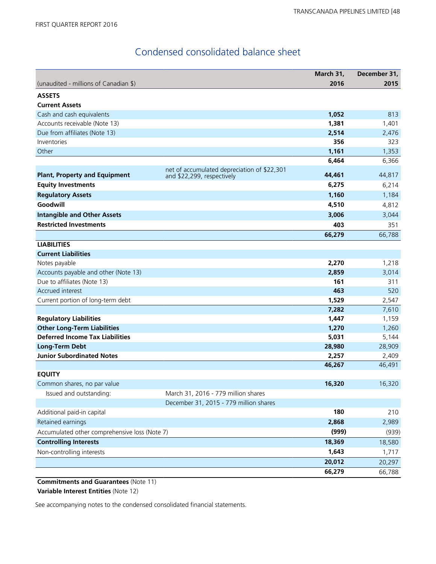## Condensed consolidated balance sheet

|                                               |                                                                               | March 31, | December 31, |
|-----------------------------------------------|-------------------------------------------------------------------------------|-----------|--------------|
| (unaudited - millions of Canadian \$)         |                                                                               | 2016      | 2015         |
| <b>ASSETS</b>                                 |                                                                               |           |              |
| <b>Current Assets</b>                         |                                                                               |           |              |
| Cash and cash equivalents                     |                                                                               | 1,052     | 813          |
| Accounts receivable (Note 13)                 |                                                                               | 1,381     | 1,401        |
| Due from affiliates (Note 13)                 |                                                                               | 2,514     | 2,476        |
| Inventories                                   |                                                                               | 356       | 323          |
| Other                                         |                                                                               | 1,161     | 1,353        |
|                                               |                                                                               | 6,464     | 6,366        |
| <b>Plant, Property and Equipment</b>          | net of accumulated depreciation of \$22,301<br>and \$22,299, respectively     | 44,461    | 44,817       |
| <b>Equity Investments</b>                     |                                                                               | 6,275     | 6,214        |
| <b>Regulatory Assets</b>                      |                                                                               | 1,160     | 1,184        |
| Goodwill                                      |                                                                               | 4,510     | 4,812        |
| <b>Intangible and Other Assets</b>            |                                                                               | 3,006     | 3,044        |
| <b>Restricted Investments</b>                 |                                                                               | 403       | 351          |
|                                               |                                                                               | 66,279    | 66,788       |
| <b>LIABILITIES</b>                            |                                                                               |           |              |
| <b>Current Liabilities</b>                    |                                                                               |           |              |
| Notes payable                                 |                                                                               | 2,270     | 1,218        |
| Accounts payable and other (Note 13)          |                                                                               | 2,859     | 3,014        |
| Due to affiliates (Note 13)                   |                                                                               | 161       | 311          |
| Accrued interest                              |                                                                               | 463       | 520          |
| Current portion of long-term debt             |                                                                               | 1,529     | 2,547        |
|                                               |                                                                               | 7,282     | 7,610        |
| <b>Regulatory Liabilities</b>                 |                                                                               | 1,447     | 1,159        |
| <b>Other Long-Term Liabilities</b>            |                                                                               | 1,270     | 1,260        |
| <b>Deferred Income Tax Liabilities</b>        |                                                                               | 5,031     | 5,144        |
| <b>Long-Term Debt</b>                         |                                                                               | 28,980    | 28,909       |
| <b>Junior Subordinated Notes</b>              |                                                                               | 2,257     | 2,409        |
|                                               |                                                                               | 46,267    | 46,491       |
| <b>EQUITY</b>                                 |                                                                               |           |              |
| Common shares, no par value                   |                                                                               | 16,320    | 16,320       |
| Issued and outstanding:                       | March 31, 2016 - 779 million shares<br>December 31, 2015 - 779 million shares |           |              |
| Additional paid-in capital                    |                                                                               | 180       | 210          |
|                                               |                                                                               |           |              |
| Retained earnings                             |                                                                               | 2,868     | 2,989        |
| Accumulated other comprehensive loss (Note 7) |                                                                               | (999)     | (939)        |
| <b>Controlling Interests</b>                  |                                                                               | 18,369    | 18,580       |
| Non-controlling interests                     |                                                                               | 1,643     | 1,717        |
|                                               |                                                                               | 20,012    | 20,297       |
|                                               |                                                                               | 66,279    | 66,788       |

**Commitments and Guarantees** (Note 11) **Variable Interest Entities** (Note 12)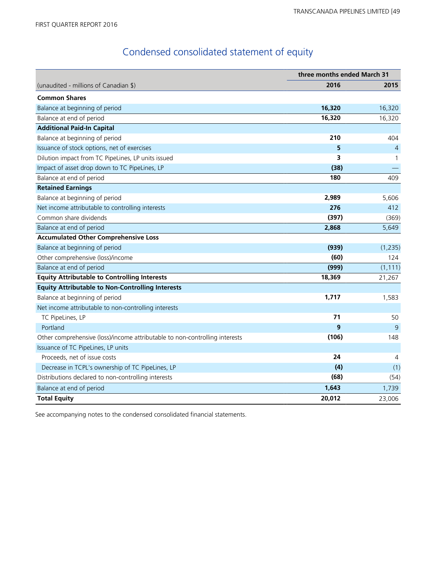# Condensed consolidated statement of equity

|                                                                             | three months ended March 31 |                |
|-----------------------------------------------------------------------------|-----------------------------|----------------|
| (unaudited - millions of Canadian \$)                                       | 2016                        | 2015           |
| <b>Common Shares</b>                                                        |                             |                |
| Balance at beginning of period                                              | 16,320                      | 16,320         |
| Balance at end of period                                                    | 16,320                      | 16,320         |
| <b>Additional Paid-In Capital</b>                                           |                             |                |
| Balance at beginning of period                                              | 210                         | 404            |
| Issuance of stock options, net of exercises                                 | 5                           | $\overline{4}$ |
| Dilution impact from TC PipeLines, LP units issued                          | 3                           | $\mathbf{1}$   |
| Impact of asset drop down to TC PipeLines, LP                               | (38)                        |                |
| Balance at end of period                                                    | 180                         | 409            |
| <b>Retained Earnings</b>                                                    |                             |                |
| Balance at beginning of period                                              | 2,989                       | 5,606          |
| Net income attributable to controlling interests                            | 276                         | 412            |
| Common share dividends                                                      | (397)                       | (369)          |
| Balance at end of period                                                    | 2,868                       | 5,649          |
| <b>Accumulated Other Comprehensive Loss</b>                                 |                             |                |
| Balance at beginning of period                                              | (939)                       | (1, 235)       |
| Other comprehensive (loss)/income                                           | (60)                        | 124            |
| Balance at end of period                                                    | (999)                       | (1, 111)       |
| <b>Equity Attributable to Controlling Interests</b>                         | 18,369                      | 21,267         |
| <b>Equity Attributable to Non-Controlling Interests</b>                     |                             |                |
| Balance at beginning of period                                              | 1,717                       | 1,583          |
| Net income attributable to non-controlling interests                        |                             |                |
| TC PipeLines, LP                                                            | 71                          | 50             |
| Portland                                                                    | 9                           | 9              |
| Other comprehensive (loss)/income attributable to non-controlling interests | (106)                       | 148            |
| Issuance of TC PipeLines, LP units                                          |                             |                |
| Proceeds, net of issue costs                                                | 24                          | 4              |
| Decrease in TCPL's ownership of TC PipeLines, LP                            | (4)                         | (1)            |
| Distributions declared to non-controlling interests                         | (68)                        | (54)           |
| Balance at end of period                                                    | 1,643                       | 1,739          |
| <b>Total Equity</b>                                                         | 20,012                      | 23,006         |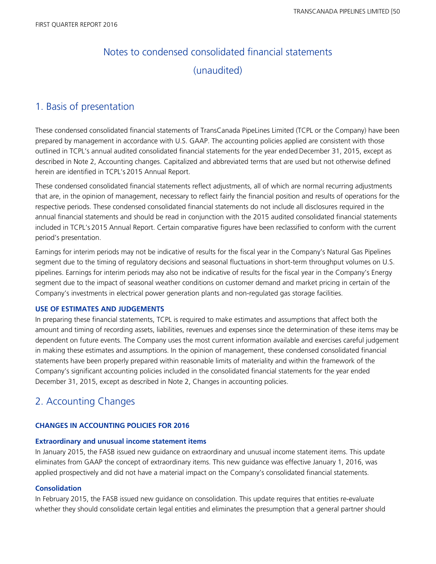# Notes to condensed consolidated financial statements (unaudited)

## 1. Basis of presentation

These condensed consolidated financial statements of TransCanada PipeLines Limited (TCPL or the Company) have been prepared by management in accordance with U.S. GAAP. The accounting policies applied are consistent with those outlined in TCPL's annual audited consolidated financial statements for the year ended December 31, 2015, except as described in Note 2, Accounting changes. Capitalized and abbreviated terms that are used but not otherwise defined herein are identified in TCPL's 2015 Annual Report.

These condensed consolidated financial statements reflect adjustments, all of which are normal recurring adjustments that are, in the opinion of management, necessary to reflect fairly the financial position and results of operations for the respective periods. These condensed consolidated financial statements do not include all disclosures required in the annual financial statements and should be read in conjunction with the 2015 audited consolidated financial statements included in TCPL's 2015 Annual Report. Certain comparative figures have been reclassified to conform with the current period's presentation.

Earnings for interim periods may not be indicative of results for the fiscal year in the Company's Natural Gas Pipelines segment due to the timing of regulatory decisions and seasonal fluctuations in short-term throughput volumes on U.S. pipelines. Earnings for interim periods may also not be indicative of results for the fiscal year in the Company's Energy segment due to the impact of seasonal weather conditions on customer demand and market pricing in certain of the Company's investments in electrical power generation plants and non-regulated gas storage facilities.

#### **USE OF ESTIMATES AND JUDGEMENTS**

In preparing these financial statements, TCPL is required to make estimates and assumptions that affect both the amount and timing of recording assets, liabilities, revenues and expenses since the determination of these items may be dependent on future events. The Company uses the most current information available and exercises careful judgement in making these estimates and assumptions. In the opinion of management, these condensed consolidated financial statements have been properly prepared within reasonable limits of materiality and within the framework of the Company's significant accounting policies included in the consolidated financial statements for the year ended December 31, 2015, except as described in Note 2, Changes in accounting policies.

## 2. Accounting Changes

#### **CHANGES IN ACCOUNTING POLICIES FOR 2016**

#### **Extraordinary and unusual income statement items**

In January 2015, the FASB issued new guidance on extraordinary and unusual income statement items. This update eliminates from GAAP the concept of extraordinary items. This new guidance was effective January 1, 2016, was applied prospectively and did not have a material impact on the Company's consolidated financial statements.

#### **Consolidation**

In February 2015, the FASB issued new guidance on consolidation. This update requires that entities re-evaluate whether they should consolidate certain legal entities and eliminates the presumption that a general partner should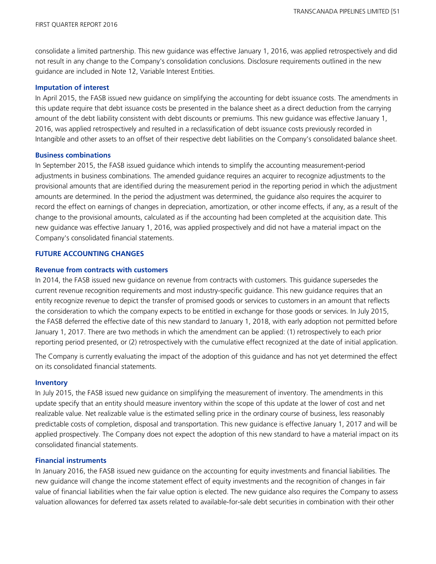consolidate a limited partnership. This new guidance was effective January 1, 2016, was applied retrospectively and did not result in any change to the Company's consolidation conclusions. Disclosure requirements outlined in the new guidance are included in Note 12, Variable Interest Entities.

#### **Imputation of interest**

In April 2015, the FASB issued new guidance on simplifying the accounting for debt issuance costs. The amendments in this update require that debt issuance costs be presented in the balance sheet as a direct deduction from the carrying amount of the debt liability consistent with debt discounts or premiums. This new guidance was effective January 1, 2016, was applied retrospectively and resulted in a reclassification of debt issuance costs previously recorded in Intangible and other assets to an offset of their respective debt liabilities on the Company's consolidated balance sheet.

#### **Business combinations**

In September 2015, the FASB issued guidance which intends to simplify the accounting measurement-period adjustments in business combinations. The amended guidance requires an acquirer to recognize adjustments to the provisional amounts that are identified during the measurement period in the reporting period in which the adjustment amounts are determined. In the period the adjustment was determined, the guidance also requires the acquirer to record the effect on earnings of changes in depreciation, amortization, or other income effects, if any, as a result of the change to the provisional amounts, calculated as if the accounting had been completed at the acquisition date. This new guidance was effective January 1, 2016, was applied prospectively and did not have a material impact on the Company's consolidated financial statements.

#### **FUTURE ACCOUNTING CHANGES**

#### **Revenue from contracts with customers**

In 2014, the FASB issued new guidance on revenue from contracts with customers. This guidance supersedes the current revenue recognition requirements and most industry-specific guidance. This new guidance requires that an entity recognize revenue to depict the transfer of promised goods or services to customers in an amount that reflects the consideration to which the company expects to be entitled in exchange for those goods or services. In July 2015, the FASB deferred the effective date of this new standard to January 1, 2018, with early adoption not permitted before January 1, 2017. There are two methods in which the amendment can be applied: (1) retrospectively to each prior reporting period presented, or (2) retrospectively with the cumulative effect recognized at the date of initial application.

The Company is currently evaluating the impact of the adoption of this guidance and has not yet determined the effect on its consolidated financial statements.

#### **Inventory**

In July 2015, the FASB issued new guidance on simplifying the measurement of inventory. The amendments in this update specify that an entity should measure inventory within the scope of this update at the lower of cost and net realizable value. Net realizable value is the estimated selling price in the ordinary course of business, less reasonably predictable costs of completion, disposal and transportation. This new guidance is effective January 1, 2017 and will be applied prospectively. The Company does not expect the adoption of this new standard to have a material impact on its consolidated financial statements.

#### **Financial instruments**

In January 2016, the FASB issued new guidance on the accounting for equity investments and financial liabilities. The new guidance will change the income statement effect of equity investments and the recognition of changes in fair value of financial liabilities when the fair value option is elected. The new guidance also requires the Company to assess valuation allowances for deferred tax assets related to available-for-sale debt securities in combination with their other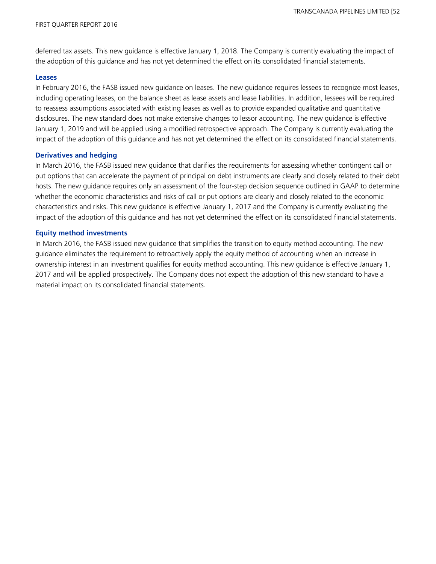deferred tax assets. This new guidance is effective January 1, 2018. The Company is currently evaluating the impact of the adoption of this guidance and has not yet determined the effect on its consolidated financial statements.

#### **Leases**

In February 2016, the FASB issued new guidance on leases. The new guidance requires lessees to recognize most leases, including operating leases, on the balance sheet as lease assets and lease liabilities. In addition, lessees will be required to reassess assumptions associated with existing leases as well as to provide expanded qualitative and quantitative disclosures. The new standard does not make extensive changes to lessor accounting. The new guidance is effective January 1, 2019 and will be applied using a modified retrospective approach. The Company is currently evaluating the impact of the adoption of this guidance and has not yet determined the effect on its consolidated financial statements.

#### **Derivatives and hedging**

In March 2016, the FASB issued new guidance that clarifies the requirements for assessing whether contingent call or put options that can accelerate the payment of principal on debt instruments are clearly and closely related to their debt hosts. The new guidance requires only an assessment of the four-step decision sequence outlined in GAAP to determine whether the economic characteristics and risks of call or put options are clearly and closely related to the economic characteristics and risks. This new guidance is effective January 1, 2017 and the Company is currently evaluating the impact of the adoption of this guidance and has not yet determined the effect on its consolidated financial statements.

#### **Equity method investments**

In March 2016, the FASB issued new guidance that simplifies the transition to equity method accounting. The new guidance eliminates the requirement to retroactively apply the equity method of accounting when an increase in ownership interest in an investment qualifies for equity method accounting. This new guidance is effective January 1, 2017 and will be applied prospectively. The Company does not expect the adoption of this new standard to have a material impact on its consolidated financial statements.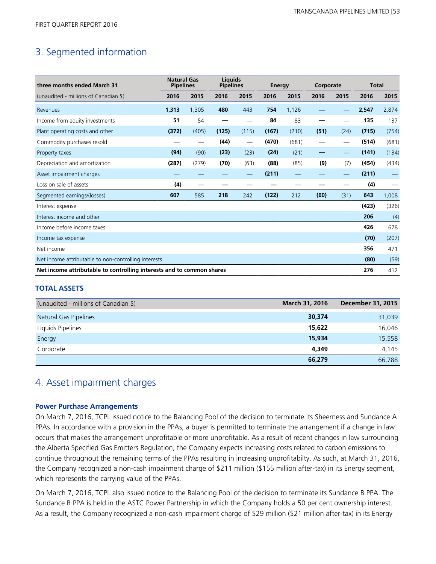## 3. Segmented information

| three months ended March 31                                           | <b>Natural Gas</b><br><b>Pipelines</b> |       | Liquids<br><b>Pipelines</b> |       | Energy |                          | Corporate |                   | <b>Total</b> |       |
|-----------------------------------------------------------------------|----------------------------------------|-------|-----------------------------|-------|--------|--------------------------|-----------|-------------------|--------------|-------|
| (unaudited - millions of Canadian \$)                                 | 2016                                   | 2015  | 2016                        | 2015  | 2016   | 2015                     | 2016      | 2015              | 2016         | 2015  |
| Revenues                                                              | 1,313                                  | 1,305 | 480                         | 443   | 754    | 1,126                    |           |                   | 2,547        | 2,874 |
| Income from equity investments                                        | 51                                     | 54    |                             |       | 84     | 83                       |           |                   | 135          | 137   |
| Plant operating costs and other                                       | (372)                                  | (405) | (125)                       | (115) | (167)  | (210)                    | (51)      | (24)              | (715)        | (754) |
| Commodity purchases resold                                            |                                        |       | (44)                        |       | (470)  | (681)                    |           | $\qquad \qquad$   | (514)        | (681) |
| Property taxes                                                        | (94)                                   | (90)  | (23)                        | (23)  | (24)   | (21)                     |           |                   | (141)        | (134) |
| Depreciation and amortization                                         | (287)                                  | (279) | (70)                        | (63)  | (88)   | (85)                     | (9)       | (7)               | (454)        | (434) |
| Asset impairment charges                                              |                                        |       |                             |       | (211)  | $\overline{\phantom{0}}$ |           | $\qquad \qquad -$ | (211)        |       |
| Loss on sale of assets                                                | (4)                                    |       |                             |       |        | --                       |           |                   | (4)          |       |
| Segmented earnings/(losses)                                           | 607                                    | 585   | 218                         | 242   | (122)  | 212                      | (60)      | (31)              | 643          | 1,008 |
| Interest expense                                                      |                                        |       |                             |       |        |                          |           |                   | (423)        | (326) |
| Interest income and other                                             |                                        |       |                             |       |        |                          |           |                   | 206          | (4)   |
| Income before income taxes                                            |                                        |       |                             |       |        |                          |           |                   | 426          | 678   |
| Income tax expense                                                    |                                        |       |                             |       |        |                          |           |                   | (70)         | (207) |
| Net income                                                            |                                        |       |                             |       |        |                          |           |                   | 356          | 471   |
| Net income attributable to non-controlling interests                  |                                        |       |                             |       |        |                          |           |                   | (80)         | (59)  |
| Net income attributable to controlling interests and to common shares |                                        |       |                             |       |        |                          |           |                   | 276          | 412   |

#### **TOTAL ASSETS**

| (unaudited - millions of Canadian \$) | <b>March 31, 2016</b> | <b>December 31, 2015</b> |
|---------------------------------------|-----------------------|--------------------------|
| Natural Gas Pipelines                 | 30,374                | 31,039                   |
| Liquids Pipelines                     | 15,622                | 16,046                   |
| Energy                                | 15,934                | 15,558                   |
| Corporate                             | 4,349                 | 4,145                    |
|                                       | 66,279                | 66.788                   |

### 4. Asset impairment charges

#### **Power Purchase Arrangements**

On March 7, 2016, TCPL issued notice to the Balancing Pool of the decision to terminate its Sheerness and Sundance A PPAs. In accordance with a provision in the PPAs, a buyer is permitted to terminate the arrangement if a change in law occurs that makes the arrangement unprofitable or more unprofitable. As a result of recent changes in law surrounding the Alberta Specified Gas Emitters Regulation, the Company expects increasing costs related to carbon emissions to continue throughout the remaining terms of the PPAs resulting in increasing unprofitabilty. As such, at March 31, 2016, the Company recognized a non-cash impairment charge of \$211 million (\$155 million after-tax) in its Energy segment, which represents the carrying value of the PPAs.

On March 7, 2016, TCPL also issued notice to the Balancing Pool of the decision to terminate its Sundance B PPA. The Sundance B PPA is held in the ASTC Power Partnership in which the Company holds a 50 per cent ownership interest. As a result, the Company recognized a non-cash impairment charge of \$29 million (\$21 million after-tax) in its Energy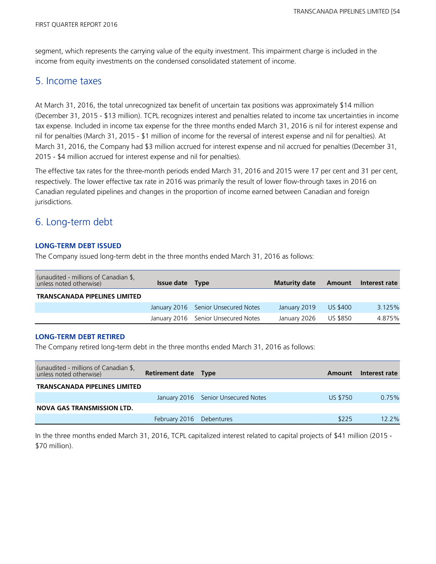segment, which represents the carrying value of the equity investment. This impairment charge is included in the income from equity investments on the condensed consolidated statement of income.

## 5. Income taxes

At March 31, 2016, the total unrecognized tax benefit of uncertain tax positions was approximately \$14 million (December 31, 2015 - \$13 million). TCPL recognizes interest and penalties related to income tax uncertainties in income tax expense. Included in income tax expense for the three months ended March 31, 2016 is nil for interest expense and nil for penalties (March 31, 2015 - \$1 million of income for the reversal of interest expense and nil for penalties). At March 31, 2016, the Company had \$3 million accrued for interest expense and nil accrued for penalties (December 31, 2015 - \$4 million accrued for interest expense and nil for penalties).

The effective tax rates for the three-month periods ended March 31, 2016 and 2015 were 17 per cent and 31 per cent, respectively. The lower effective tax rate in 2016 was primarily the result of lower flow-through taxes in 2016 on Canadian regulated pipelines and changes in the proportion of income earned between Canadian and foreign jurisdictions.

## 6. Long-term debt

#### **LONG-TERM DEBT ISSUED**

The Company issued long-term debt in the three months ended March 31, 2016 as follows:

| (unaudited - millions of Canadian \$,<br>unless noted otherwise) | Issue date Type |                                     | <b>Maturity date</b> | Amount   | Interest rate |
|------------------------------------------------------------------|-----------------|-------------------------------------|----------------------|----------|---------------|
| <b>TRANSCANADA PIPELINES LIMITED</b>                             |                 |                                     |                      |          |               |
|                                                                  |                 | January 2016 Senior Unsecured Notes | January 2019         | US \$400 | 3.125%        |
|                                                                  |                 | January 2016 Senior Unsecured Notes | January 2026         | US \$850 | 4.875%        |

#### **LONG-TERM DEBT RETIRED**

The Company retired long-term debt in the three months ended March 31, 2016 as follows:

| (unaudited - millions of Canadian \$,<br>unless noted otherwise) | <b>Retirement date Type</b> |                                     | Amount          | Interest rate |
|------------------------------------------------------------------|-----------------------------|-------------------------------------|-----------------|---------------|
| <b>TRANSCANADA PIPELINES LIMITED</b>                             |                             |                                     |                 |               |
|                                                                  |                             | January 2016 Senior Unsecured Notes | <b>US \$750</b> | 0.75%         |
| NOVA GAS TRANSMISSION LTD.                                       |                             |                                     |                 |               |
|                                                                  | February 2016 Debentures    |                                     | \$225           | $12.2\%$      |

In the three months ended March 31, 2016, TCPL capitalized interest related to capital projects of \$41 million (2015 - \$70 million).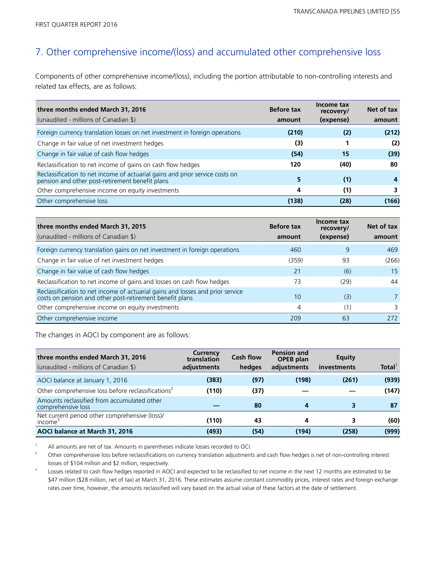## 7. Other comprehensive income/(loss) and accumulated other comprehensive loss

Components of other comprehensive income/(loss), including the portion attributable to non-controlling interests and related tax effects, are as follows:

| three months ended March 31, 2016<br>(unaudited - millions of Canadian \$)                                                      | <b>Before tax</b><br>amount | Income tax<br>recovery/<br>(expense) | Net of tax<br>amount |
|---------------------------------------------------------------------------------------------------------------------------------|-----------------------------|--------------------------------------|----------------------|
|                                                                                                                                 |                             |                                      |                      |
| Foreign currency translation losses on net investment in foreign operations                                                     | (210)                       | (2)                                  | (212)                |
| Change in fair value of net investment hedges                                                                                   | (3)                         |                                      | (2)                  |
| Change in fair value of cash flow hedges                                                                                        | (54)                        | 15                                   | (39)                 |
| Reclassification to net income of gains on cash flow hedges                                                                     | 120                         | (40)                                 | 80                   |
| Reclassification to net income of actuarial gains and prior service costs on<br>pension and other post-retirement benefit plans | 5                           | (1)                                  |                      |
| Other comprehensive income on equity investments                                                                                | 4                           | (1)                                  |                      |
| Other comprehensive loss                                                                                                        | (138)                       | (28)                                 | (166)                |

| three months ended March 31, 2015                                                                                                          | <b>Before tax</b> | Income tax<br>recovery/ | Net of tax |
|--------------------------------------------------------------------------------------------------------------------------------------------|-------------------|-------------------------|------------|
| (unaudited - millions of Canadian \$)                                                                                                      | amount            | (expense)               | amount     |
| Foreign currency translation gains on net investment in foreign operations                                                                 | 460               | 9                       | 469        |
| Change in fair value of net investment hedges                                                                                              | (359)             | 93                      | (266)      |
| Change in fair value of cash flow hedges                                                                                                   | 21                | (6)                     | 15         |
| Reclassification to net income of gains and losses on cash flow hedges                                                                     | 73                | (29)                    | 44         |
| Reclassification to net income of actuarial gains and losses and prior service<br>costs on pension and other post-retirement benefit plans | 10                | (3)                     |            |
| Other comprehensive income on equity investments                                                                                           | 4                 | (1)                     | 3          |
| Other comprehensive income                                                                                                                 | 209               | 63                      | 272        |

The changes in AOCI by component are as follows:

| three months ended March 31, 2016<br>(unaudited - millions of Canadian \$) | Currency<br>translation<br>adjustments | <b>Cash flow</b><br>hedges | <b>Pension and</b><br><b>OPEB</b> plan<br>adjustments | <b>Equity</b><br>investments | Total <sup>1</sup> |
|----------------------------------------------------------------------------|----------------------------------------|----------------------------|-------------------------------------------------------|------------------------------|--------------------|
| AOCI balance at January 1, 2016                                            | (383)                                  | (97)                       | (198)                                                 | (261)                        | (939)              |
| Other comprehensive loss before reclassifications <sup>2</sup>             | (110)                                  | (37)                       |                                                       |                              | (147)              |
| Amounts reclassified from accumulated other<br>comprehensive loss          |                                        | 80                         | 4                                                     |                              | 87                 |
| Net current period other comprehensive (loss)/<br>income <sup>-</sup>      | (110)                                  | 43                         | 4                                                     |                              | (60)               |
| AOCI balance at March 31, 2016                                             | (493)                                  | (54)                       | (194)                                                 | (258)                        | (999)              |

<sup>1</sup> All amounts are net of tax. Amounts in parentheses indicate losses recorded to OCI.

<sup>2</sup>Other comprehensive loss before reclassifications on currency translation adjustments and cash flow hedges is net of non-controlling interest losses of \$104 million and \$2 million, respectively.

<sup>3</sup> Losses related to cash flow hedges reported in AOCI and expected to be reclassified to net income in the next 12 months are estimated to be \$47 million (\$28 million, net of tax) at March 31, 2016. These estimates assume constant commodity prices, interest rates and foreign exchange rates over time, however, the amounts reclassified will vary based on the actual value of these factors at the date of settlement.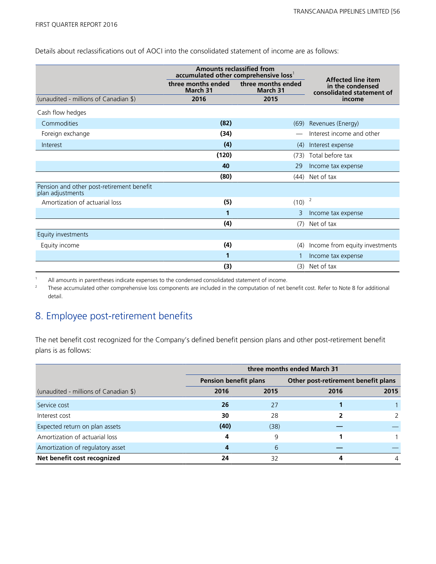Details about reclassifications out of AOCI into the consolidated statement of income are as follows:

|                                                               | <b>Amounts reclassified from</b><br>accumulated other comprehensive loss <sup>1</sup> |                                |                                                                            |
|---------------------------------------------------------------|---------------------------------------------------------------------------------------|--------------------------------|----------------------------------------------------------------------------|
|                                                               | three months ended<br>March 31                                                        | three months ended<br>March 31 | <b>Affected line item</b><br>in the condensed<br>consolidated statement of |
| (unaudited - millions of Canadian \$)                         | 2016                                                                                  | 2015                           | income                                                                     |
| Cash flow hedges                                              |                                                                                       |                                |                                                                            |
| Commodities                                                   | (82)                                                                                  | (69)                           | Revenues (Energy)                                                          |
| Foreign exchange                                              | (34)                                                                                  |                                | Interest income and other                                                  |
| Interest                                                      | (4)                                                                                   | (4)                            | Interest expense                                                           |
|                                                               | (120)                                                                                 | (73)                           | Total before tax                                                           |
|                                                               | 40                                                                                    | 29                             | Income tax expense                                                         |
|                                                               | (80)                                                                                  | (44)                           | Net of tax                                                                 |
| Pension and other post-retirement benefit<br>plan adjustments |                                                                                       |                                |                                                                            |
| Amortization of actuarial loss                                | (5)                                                                                   | (10)                           | $\overline{2}$                                                             |
|                                                               | 1                                                                                     | 3                              | Income tax expense                                                         |
|                                                               | (4)                                                                                   | (7)                            | Net of tax                                                                 |
| Equity investments                                            |                                                                                       |                                |                                                                            |
| Equity income                                                 | (4)                                                                                   | (4)                            | Income from equity investments                                             |
|                                                               | 1                                                                                     |                                | Income tax expense                                                         |
|                                                               | (3)                                                                                   | (3)                            | Net of tax                                                                 |

<sup>1</sup> All amounts in parentheses indicate expenses to the condensed consolidated statement of income.

<sup>2</sup> These accumulated other comprehensive loss components are included in the computation of net benefit cost. Refer to Note 8 for additional detail.

## 8. Employee post-retirement benefits

The net benefit cost recognized for the Company's defined benefit pension plans and other post-retirement benefit plans is as follows:

|                                       | three months ended March 31  |      |                                     |      |  |
|---------------------------------------|------------------------------|------|-------------------------------------|------|--|
|                                       | <b>Pension benefit plans</b> |      | Other post-retirement benefit plans |      |  |
| (unaudited - millions of Canadian \$) | 2016                         | 2015 | 2016                                | 2015 |  |
| Service cost                          | 26                           | 27   |                                     |      |  |
| Interest cost                         | 30                           | 28   | 2                                   |      |  |
| Expected return on plan assets        | (40)                         | (38) |                                     |      |  |
| Amortization of actuarial loss        | 4                            | 9    |                                     |      |  |
| Amortization of regulatory asset      | 4                            | 6    |                                     |      |  |
| Net benefit cost recognized           | 24                           | 32   | 4                                   | 4    |  |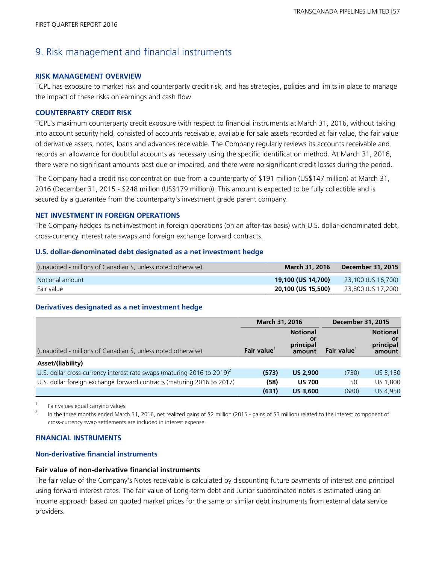## 9. Risk management and financial instruments

#### **RISK MANAGEMENT OVERVIEW**

TCPL has exposure to market risk and counterparty credit risk, and has strategies, policies and limits in place to manage the impact of these risks on earnings and cash flow.

#### **COUNTERPARTY CREDIT RISK**

TCPL's maximum counterparty credit exposure with respect to financial instruments at March 31, 2016, without taking into account security held, consisted of accounts receivable, available for sale assets recorded at fair value, the fair value of derivative assets, notes, loans and advances receivable. The Company regularly reviews its accounts receivable and records an allowance for doubtful accounts as necessary using the specific identification method. At March 31, 2016, there were no significant amounts past due or impaired, and there were no significant credit losses during the period.

The Company had a credit risk concentration due from a counterparty of \$191 million (US\$147 million) at March 31, 2016 (December 31, 2015 - \$248 million (US\$179 million)). This amount is expected to be fully collectible and is secured by a guarantee from the counterparty's investment grade parent company.

#### **NET INVESTMENT IN FOREIGN OPERATIONS**

The Company hedges its net investment in foreign operations (on an after-tax basis) with U.S. dollar-denominated debt, cross-currency interest rate swaps and foreign exchange forward contracts.

#### **U.S. dollar-denominated debt designated as a net investment hedge**

| (unaudited - millions of Canadian \$, unless noted otherwise) | March 31, 2016     | December 31, 2015  |
|---------------------------------------------------------------|--------------------|--------------------|
| Notional amount                                               | 19,100 (US 14,700) | 23,100 (US 16,700) |
| Fair value                                                    | 20,100 (US 15,500) | 23,800 (US 17,200) |

#### **Derivatives designated as a net investment hedge**

|                                                                                     | March 31, 2016 |                                               | <b>December 31, 2015</b> |                                              |
|-------------------------------------------------------------------------------------|----------------|-----------------------------------------------|--------------------------|----------------------------------------------|
| (unaudited - millions of Canadian \$, unless noted otherwise)                       | Fair value     | <b>Notional</b><br>.or<br>principal<br>amount | Fair value               | <b>Notional</b><br>or<br>principal<br>amount |
| Asset/(liability)                                                                   |                |                                               |                          |                                              |
| U.S. dollar cross-currency interest rate swaps (maturing 2016 to 2019) <sup>2</sup> | (573)          | <b>US 2,900</b>                               | (730)                    | US 3,150                                     |
| U.S. dollar foreign exchange forward contracts (maturing 2016 to 2017)              | (58)           | <b>US 700</b>                                 | 50                       | US 1,800                                     |
|                                                                                     | (631)          | <b>US 3,600</b>                               | (680)                    | US 4,950                                     |

 $\frac{1}{2}$  Fair values equal carrying values.

In the three months ended March 31, 2016, net realized gains of \$2 million (2015 - gains of \$3 million) related to the interest component of cross-currency swap settlements are included in interest expense.

#### **FINANCIAL INSTRUMENTS**

#### **Non-derivative financial instruments**

#### **Fair value of non-derivative financial instruments**

The fair value of the Company's Notes receivable is calculated by discounting future payments of interest and principal using forward interest rates. The fair value of Long-term debt and Junior subordinated notes is estimated using an income approach based on quoted market prices for the same or similar debt instruments from external data service providers.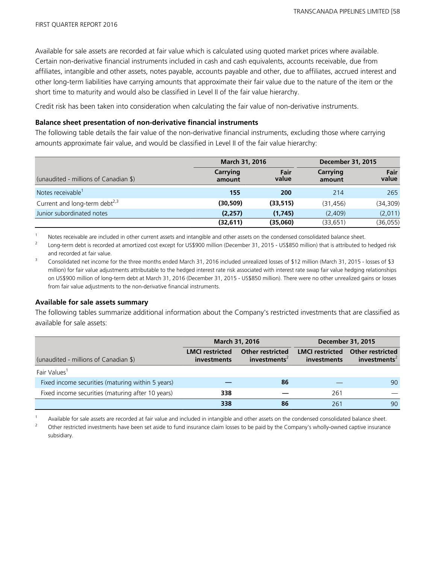Available for sale assets are recorded at fair value which is calculated using quoted market prices where available. Certain non-derivative financial instruments included in cash and cash equivalents, accounts receivable, due from affiliates, intangible and other assets, notes payable, accounts payable and other, due to affiliates, accrued interest and other long-term liabilities have carrying amounts that approximate their fair value due to the nature of the item or the short time to maturity and would also be classified in Level II of the fair value hierarchy.

Credit risk has been taken into consideration when calculating the fair value of non-derivative instruments.

#### **Balance sheet presentation of non-derivative financial instruments**

The following table details the fair value of the non-derivative financial instruments, excluding those where carrying amounts approximate fair value, and would be classified in Level II of the fair value hierarchy:

|                                           |                    | March 31, 2016 |                    | <b>December 31, 2015</b> |
|-------------------------------------------|--------------------|----------------|--------------------|--------------------------|
| (unaudited - millions of Canadian \$)     | Carrying<br>amount | Fair<br>value  | Carrying<br>amount | Fair<br>value            |
| Notes receivable <sup>1</sup>             | 155                | <b>200</b>     | 214                | 265                      |
| Current and long-term debt <sup>2,3</sup> | (30, 509)          | (33, 515)      | (31, 456)          | (34, 309)                |
| Junior subordinated notes                 | (2,257)            | (1,745)        | (2.409)            | (2,011)                  |
|                                           | (32,611)           | (35,060)       | (33, 651)          | (36, 055)                |

<sup>1</sup>Notes receivable are included in other current assets and intangible and other assets on the condensed consolidated balance sheet.

<sup>2</sup> Long-term debt is recorded at amortized cost except for US\$900 million (December 31, 2015 - US\$850 million) that is attributed to hedged risk and recorded at fair value.

<sup>3</sup> Consolidated net income for the three months ended March 31, 2016 included unrealized losses of \$12 million (March 31, 2015 - losses of \$3 million) for fair value adjustments attributable to the hedged interest rate risk associated with interest rate swap fair value hedging relationships on US\$900 million of long-term debt at March 31, 2016 (December 31, 2015 - US\$850 million). There were no other unrealized gains or losses from fair value adjustments to the non-derivative financial instruments.

#### **Available for sale assets summary**

The following tables summarize additional information about the Company's restricted investments that are classified as available for sale assets:

|                                                   |                                       | <b>March 31, 2016</b>                               | <b>December 31, 2015</b>                     |                                                     |  |
|---------------------------------------------------|---------------------------------------|-----------------------------------------------------|----------------------------------------------|-----------------------------------------------------|--|
| (unaudited - millions of Canadian \$)             | <b>LMCI</b> restricted<br>investments | <b>Other restricted</b><br>investments <sup>2</sup> | <b>LMCI</b> restricted<br><b>investments</b> | <b>Other restricted</b><br>investments <sup>2</sup> |  |
| Fair Values <sup>1</sup>                          |                                       |                                                     |                                              |                                                     |  |
| Fixed income securities (maturing within 5 years) |                                       | 86                                                  |                                              | 90                                                  |  |
| Fixed income securities (maturing after 10 years) | 338                                   |                                                     | 261                                          |                                                     |  |
|                                                   | 338                                   | 86                                                  | 261                                          | 90                                                  |  |

Available for sale assets are recorded at fair value and included in intangible and other assets on the condensed consolidated balance sheet.

<sup>2</sup> Other restricted investments have been set aside to fund insurance claim losses to be paid by the Company's wholly-owned captive insurance subsidiary.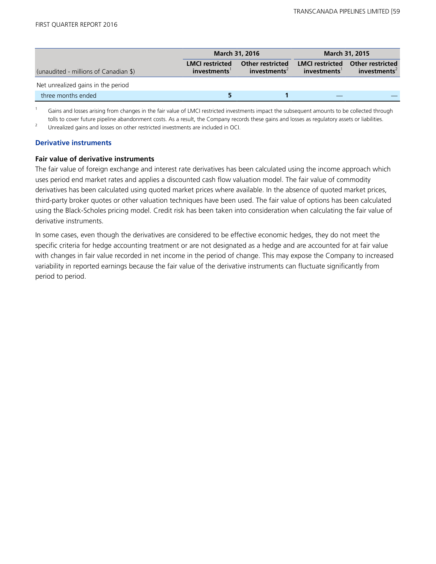|                                       |                                       | <b>March 31, 2016</b>                               | March 31, 2015                        |                                                     |  |
|---------------------------------------|---------------------------------------|-----------------------------------------------------|---------------------------------------|-----------------------------------------------------|--|
| (unaudited - millions of Canadian \$) | <b>LMCI</b> restricted<br>investments | <b>Other restricted</b><br>investments <sup>2</sup> | <b>LMCI</b> restricted<br>investments | <b>Other restricted</b><br>investments <sup>2</sup> |  |
| Net unrealized gains in the period    |                                       |                                                     |                                       |                                                     |  |
| three months ended                    |                                       |                                                     |                                       |                                                     |  |

Gains and losses arising from changes in the fair value of LMCI restricted investments impact the subsequent amounts to be collected through tolls to cover future pipeline abandonment costs. As a result, the Company records these gains and losses as regulatory assets or liabilities.

<sup>2</sup> Unrealized gains and losses on other restricted investments are included in OCI.

#### **Derivative instruments**

#### **Fair value of derivative instruments**

The fair value of foreign exchange and interest rate derivatives has been calculated using the income approach which uses period end market rates and applies a discounted cash flow valuation model. The fair value of commodity derivatives has been calculated using quoted market prices where available. In the absence of quoted market prices, third-party broker quotes or other valuation techniques have been used. The fair value of options has been calculated using the Black-Scholes pricing model. Credit risk has been taken into consideration when calculating the fair value of derivative instruments.

In some cases, even though the derivatives are considered to be effective economic hedges, they do not meet the specific criteria for hedge accounting treatment or are not designated as a hedge and are accounted for at fair value with changes in fair value recorded in net income in the period of change. This may expose the Company to increased variability in reported earnings because the fair value of the derivative instruments can fluctuate significantly from period to period.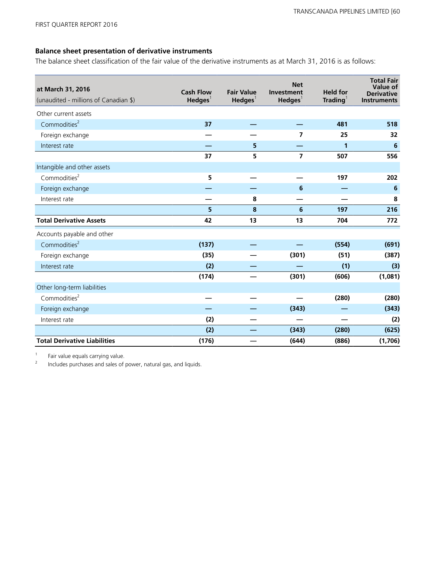#### **Balance sheet presentation of derivative instruments**

The balance sheet classification of the fair value of the derivative instruments as at March 31, 2016 is as follows:

| at March 31, 2016<br>(unaudited - millions of Canadian \$) | <b>Cash Flow</b><br>$H$ edges <sup>1</sup> | <b>Fair Value</b><br>$H$ edges <sup>1</sup> | <b>Net</b><br>Investment<br>$H$ edges <sup>1</sup> | <b>Held for</b><br>$\mathsf{Trading}^1$ | <b>Total Fair</b><br>Value of<br><b>Derivative</b><br><b>Instruments</b> |
|------------------------------------------------------------|--------------------------------------------|---------------------------------------------|----------------------------------------------------|-----------------------------------------|--------------------------------------------------------------------------|
| Other current assets                                       |                                            |                                             |                                                    |                                         |                                                                          |
| Commodities <sup>2</sup>                                   | 37                                         |                                             |                                                    | 481                                     | 518                                                                      |
| Foreign exchange                                           |                                            |                                             | 7                                                  | 25                                      | 32                                                                       |
| Interest rate                                              |                                            | 5                                           |                                                    | 1                                       | 6                                                                        |
|                                                            | 37                                         | 5                                           | $\overline{7}$                                     | 507                                     | 556                                                                      |
| Intangible and other assets                                |                                            |                                             |                                                    |                                         |                                                                          |
| Commodities <sup>2</sup>                                   | 5                                          |                                             |                                                    | 197                                     | 202                                                                      |
| Foreign exchange                                           |                                            |                                             | 6                                                  |                                         | 6                                                                        |
| Interest rate                                              |                                            | 8                                           |                                                    |                                         | 8                                                                        |
|                                                            | 5                                          | 8                                           | 6                                                  | 197                                     | 216                                                                      |
| <b>Total Derivative Assets</b>                             | 42                                         | 13                                          | 13                                                 | 704                                     | 772                                                                      |
| Accounts payable and other                                 |                                            |                                             |                                                    |                                         |                                                                          |
| Commodities <sup>2</sup>                                   | (137)                                      |                                             |                                                    | (554)                                   | (691)                                                                    |
| Foreign exchange                                           | (35)                                       |                                             | (301)                                              | (51)                                    | (387)                                                                    |
| Interest rate                                              | (2)                                        |                                             |                                                    | (1)                                     | (3)                                                                      |
|                                                            | (174)                                      |                                             | (301)                                              | (606)                                   | (1,081)                                                                  |
| Other long-term liabilities                                |                                            |                                             |                                                    |                                         |                                                                          |
| Commodities <sup>2</sup>                                   |                                            |                                             |                                                    | (280)                                   | (280)                                                                    |
| Foreign exchange                                           |                                            |                                             | (343)                                              |                                         | (343)                                                                    |
| Interest rate                                              | (2)                                        |                                             |                                                    |                                         | (2)                                                                      |
|                                                            | (2)                                        |                                             | (343)                                              | (280)                                   | (625)                                                                    |
| <b>Total Derivative Liabilities</b>                        | (176)                                      |                                             | (644)                                              | (886)                                   | (1,706)                                                                  |

 $\frac{1}{2}$  Fair value equals carrying value.

<sup>2</sup>Includes purchases and sales of power, natural gas, and liquids.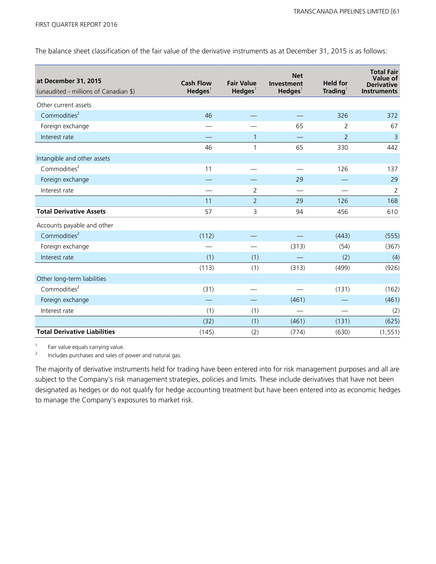The balance sheet classification of the fair value of the derivative instruments as at December 31, 2015 is as follows:

| at December 31, 2015<br>(unaudited - millions of Canadian \$) | <b>Cash Flow</b><br>$H$ edges <sup>1</sup> | <b>Fair Value</b><br>$H$ edges <sup>1</sup> | <b>Net</b><br>Investment<br>$H$ edges <sup>1</sup> | <b>Held for</b><br>$\mathsf{Trading}^1$ | <b>Total Fair</b><br>Value of<br><b>Derivative</b><br><b>Instruments</b> |
|---------------------------------------------------------------|--------------------------------------------|---------------------------------------------|----------------------------------------------------|-----------------------------------------|--------------------------------------------------------------------------|
| Other current assets                                          |                                            |                                             |                                                    |                                         |                                                                          |
| Commodities <sup>2</sup>                                      | 46                                         |                                             |                                                    | 326                                     | 372                                                                      |
| Foreign exchange                                              |                                            |                                             | 65                                                 | 2                                       | 67                                                                       |
| Interest rate                                                 |                                            | $\mathbf{1}$                                |                                                    | $\overline{2}$                          | $\overline{3}$                                                           |
|                                                               | 46                                         | 1                                           | 65                                                 | 330                                     | 442                                                                      |
| Intangible and other assets                                   |                                            |                                             |                                                    |                                         |                                                                          |
| Commodities <sup>2</sup>                                      | 11                                         |                                             |                                                    | 126                                     | 137                                                                      |
| Foreign exchange                                              |                                            |                                             | 29                                                 |                                         | 29                                                                       |
| Interest rate                                                 |                                            | $\overline{2}$                              |                                                    |                                         | $\overline{2}$                                                           |
|                                                               | 11                                         | $\overline{2}$                              | 29                                                 | 126                                     | 168                                                                      |
| <b>Total Derivative Assets</b>                                | 57                                         | 3                                           | 94                                                 | 456                                     | 610                                                                      |
| Accounts payable and other                                    |                                            |                                             |                                                    |                                         |                                                                          |
| Commodities <sup>2</sup>                                      | (112)                                      |                                             |                                                    | (443)                                   | (555)                                                                    |
| Foreign exchange                                              |                                            |                                             | (313)                                              | (54)                                    | (367)                                                                    |
| Interest rate                                                 | (1)                                        | (1)                                         |                                                    | (2)                                     | (4)                                                                      |
|                                                               | (113)                                      | (1)                                         | (313)                                              | (499)                                   | (926)                                                                    |
| Other long-term liabilities                                   |                                            |                                             |                                                    |                                         |                                                                          |
| Commodities <sup>2</sup>                                      | (31)                                       |                                             |                                                    | (131)                                   | (162)                                                                    |
| Foreign exchange                                              |                                            |                                             | (461)                                              |                                         | (461)                                                                    |
| Interest rate                                                 | (1)                                        | (1)                                         |                                                    |                                         | (2)                                                                      |
|                                                               | (32)                                       | (1)                                         | (461)                                              | (131)                                   | (625)                                                                    |
| <b>Total Derivative Liabilities</b>                           | (145)                                      | (2)                                         | (774)                                              | (630)                                   | (1, 551)                                                                 |

 $\frac{1}{2}$  Fair value equals carrying value.

<sup>2</sup>Includes purchases and sales of power and natural gas.

The majority of derivative instruments held for trading have been entered into for risk management purposes and all are subject to the Company's risk management strategies, policies and limits. These include derivatives that have not been designated as hedges or do not qualify for hedge accounting treatment but have been entered into as economic hedges to manage the Company's exposures to market risk.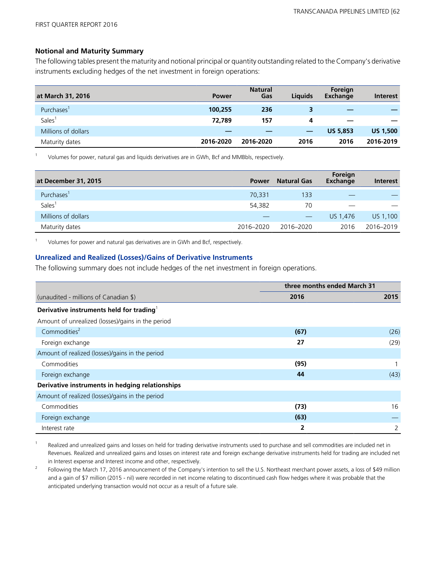#### **Notional and Maturity Summary**

The following tables present the maturity and notional principal or quantity outstanding related to the Company's derivative instruments excluding hedges of the net investment in foreign operations:

| at March 31, 2016   | <b>Power</b> | <b>Natural</b><br>Gas | Liauids | Foreign<br>Exchange | <b>Interest</b> |
|---------------------|--------------|-----------------------|---------|---------------------|-----------------|
| Purchases'          | 100,255      | 236                   | 3       | _                   |                 |
| Sales <sup>1</sup>  | 72,789       | 157                   | 4       |                     |                 |
| Millions of dollars |              |                       |         | <b>US 5,853</b>     | <b>US 1,500</b> |
| Maturity dates      | 2016-2020    | 2016-2020             | 2016    | 2016                | 2016-2019       |

<sup>1</sup>Volumes for power, natural gas and liquids derivatives are in GWh, Bcf and MMBbls, respectively.

| at December 31, 2015   | <b>Power</b> | <b>Natural Gas</b> | Foreign<br>Exchange | Interest  |
|------------------------|--------------|--------------------|---------------------|-----------|
| Purchases <sup>1</sup> | 70.331       | 133                |                     |           |
| Sales <sup>1</sup>     | 54,382       | 70                 |                     |           |
| Millions of dollars    |              | $\hspace{0.05cm}$  | US 1.476            | US 1,100  |
| Maturity dates         | 2016-2020    | 2016-2020          | 2016                | 2016-2019 |

Volumes for power and natural gas derivatives are in GWh and Bcf, respectively.

#### **Unrealized and Realized (Losses)/Gains of Derivative Instruments**

The following summary does not include hedges of the net investment in foreign operations.

|                                                      | three months ended March 31 |      |
|------------------------------------------------------|-----------------------------|------|
| (unaudited - millions of Canadian \$)                | 2016                        | 2015 |
| Derivative instruments held for trading <sup>1</sup> |                             |      |
| Amount of unrealized (losses)/gains in the period    |                             |      |
| Commodities <sup>2</sup>                             | (67)                        | (26) |
| Foreign exchange                                     | 27                          | (29) |
| Amount of realized (losses)/gains in the period      |                             |      |
| Commodities                                          | (95)                        |      |
| Foreign exchange                                     | 44                          | (43) |
| Derivative instruments in hedging relationships      |                             |      |
| Amount of realized (losses)/gains in the period      |                             |      |
| Commodities                                          | (73)                        | 16   |
| Foreign exchange                                     | (63)                        |      |
| Interest rate                                        | 2                           | 2    |

Realized and unrealized gains and losses on held for trading derivative instruments used to purchase and sell commodities are included net in Revenues. Realized and unrealized gains and losses on interest rate and foreign exchange derivative instruments held for trading are included net in Interest expense and Interest income and other, respectively.

<sup>2</sup> Following the March 17, 2016 announcement of the Company's intention to sell the U.S. Northeast merchant power assets, a loss of \$49 million and a gain of \$7 million (2015 - nil) were recorded in net income relating to discontinued cash flow hedges where it was probable that the anticipated underlying transaction would not occur as a result of a future sale.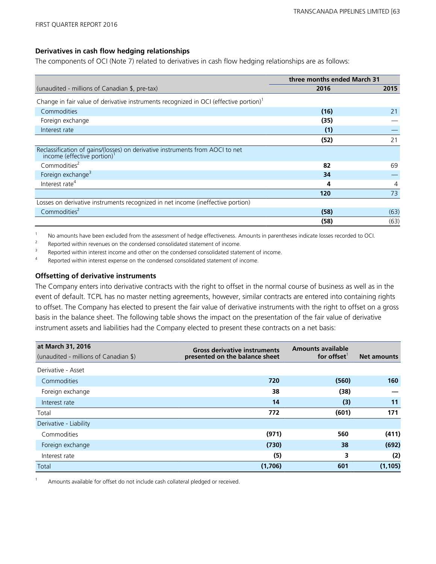#### **Derivatives in cash flow hedging relationships**

The components of OCI (Note 7) related to derivatives in cash flow hedging relationships are as follows:

|                                                                                                                       | three months ended March 31 |      |
|-----------------------------------------------------------------------------------------------------------------------|-----------------------------|------|
| (unaudited - millions of Canadian \$, pre-tax)                                                                        | 2016                        | 2015 |
| Change in fair value of derivative instruments recognized in OCI (effective portion) <sup>1</sup>                     |                             |      |
| Commodities                                                                                                           | (16)                        | 21   |
| Foreign exchange                                                                                                      | (35)                        |      |
| Interest rate                                                                                                         | (1)                         |      |
|                                                                                                                       | (52)                        | 21   |
| Reclassification of gains/(losses) on derivative instruments from AOCI to net income (effective portion) <sup>1</sup> |                             |      |
| Commodities <sup>2</sup>                                                                                              | 82                          | 69   |
| Foreign exchange <sup>3</sup>                                                                                         | 34                          |      |
| Interest rate <sup>4</sup>                                                                                            | 4                           | 4    |
|                                                                                                                       | 120                         | 73   |
| Losses on derivative instruments recognized in net income (ineffective portion)                                       |                             |      |
| Commodities <sup>2</sup>                                                                                              | (58)                        | (63) |
|                                                                                                                       | (58)                        | (63) |

1 No amounts have been excluded from the assessment of hedge effectiveness. Amounts in parentheses indicate losses recorded to OCI.<br>Reported within revenues on the condensed consolidated statement of income

Proported within revenues on the condensed consolidated statement of income.

Reported within interest income and other on the condensed consolidated statement of income.

<sup>4</sup> Reported within interest expense on the condensed consolidated statement of income.

#### **Offsetting of derivative instruments**

The Company enters into derivative contracts with the right to offset in the normal course of business as well as in the event of default. TCPL has no master netting agreements, however, similar contracts are entered into containing rights to offset. The Company has elected to present the fair value of derivative instruments with the right to offset on a gross basis in the balance sheet. The following table shows the impact on the presentation of the fair value of derivative instrument assets and liabilities had the Company elected to present these contracts on a net basis:

| at March 31, 2016                     | <b>Gross derivative instruments</b> | <b>Amounts available</b> |                    |
|---------------------------------------|-------------------------------------|--------------------------|--------------------|
| (unaudited - millions of Canadian \$) | presented on the balance sheet      | for offset               | <b>Net amounts</b> |
| Derivative - Asset                    |                                     |                          |                    |
| Commodities                           | 720                                 | (560)                    | 160                |
| Foreign exchange                      | 38                                  | (38)                     |                    |
| Interest rate                         | 14                                  | (3)                      | 11                 |
| Total                                 | 772                                 | (601)                    | 171                |
| Derivative - Liability                |                                     |                          |                    |
| Commodities                           | (971)                               | 560                      | (411)              |
| Foreign exchange                      | (730)                               | 38                       | (692)              |
| Interest rate                         | (5)                                 | 3                        | (2)                |
| Total                                 | (1,706)                             | 601                      | (1, 105)           |

Amounts available for offset do not include cash collateral pledged or received.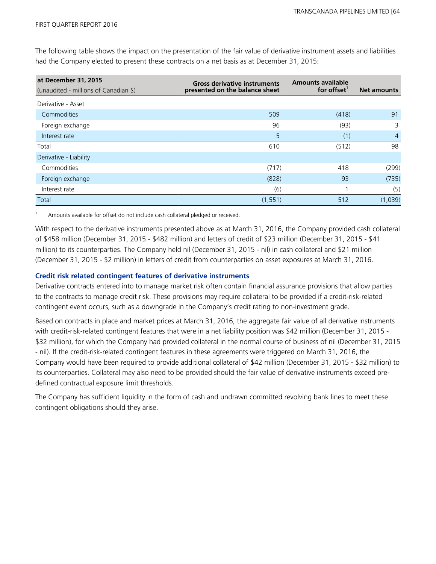The following table shows the impact on the presentation of the fair value of derivative instrument assets and liabilities had the Company elected to present these contracts on a net basis as at December 31, 2015:

| at December 31, 2015<br>(unaudited - millions of Canadian \$) | <b>Gross derivative instruments</b><br>presented on the balance sheet | <b>Amounts available</b><br>for offset | <b>Net amounts</b> |
|---------------------------------------------------------------|-----------------------------------------------------------------------|----------------------------------------|--------------------|
| Derivative - Asset                                            |                                                                       |                                        |                    |
| Commodities                                                   | 509                                                                   | (418)                                  | 91                 |
| Foreign exchange                                              | 96                                                                    | (93)                                   | 3                  |
| Interest rate                                                 | 5                                                                     | (1)                                    | $\overline{4}$     |
| Total                                                         | 610                                                                   | (512)                                  | 98                 |
| Derivative - Liability                                        |                                                                       |                                        |                    |
| Commodities                                                   | (717)                                                                 | 418                                    | (299)              |
| Foreign exchange                                              | (828)                                                                 | 93                                     | (735)              |
| Interest rate                                                 | (6)                                                                   |                                        | (5)                |
| Total                                                         | (1, 551)                                                              | 512                                    | (1,039)            |

Amounts available for offset do not include cash collateral pledged or received.

With respect to the derivative instruments presented above as at March 31, 2016, the Company provided cash collateral of \$458 million (December 31, 2015 - \$482 million) and letters of credit of \$23 million (December 31, 2015 - \$41 million) to its counterparties. The Company held nil (December 31, 2015 - nil) in cash collateral and \$21 million (December 31, 2015 - \$2 million) in letters of credit from counterparties on asset exposures at March 31, 2016.

#### **Credit risk related contingent features of derivative instruments**

Derivative contracts entered into to manage market risk often contain financial assurance provisions that allow parties to the contracts to manage credit risk. These provisions may require collateral to be provided if a credit-risk-related contingent event occurs, such as a downgrade in the Company's credit rating to non-investment grade.

Based on contracts in place and market prices at March 31, 2016, the aggregate fair value of all derivative instruments with credit-risk-related contingent features that were in a net liability position was \$42 million (December 31, 2015 - \$32 million), for which the Company had provided collateral in the normal course of business of nil (December 31, 2015 - nil). If the credit-risk-related contingent features in these agreements were triggered on March 31, 2016, the Company would have been required to provide additional collateral of \$42 million (December 31, 2015 - \$32 million) to its counterparties. Collateral may also need to be provided should the fair value of derivative instruments exceed predefined contractual exposure limit thresholds.

The Company has sufficient liquidity in the form of cash and undrawn committed revolving bank lines to meet these contingent obligations should they arise.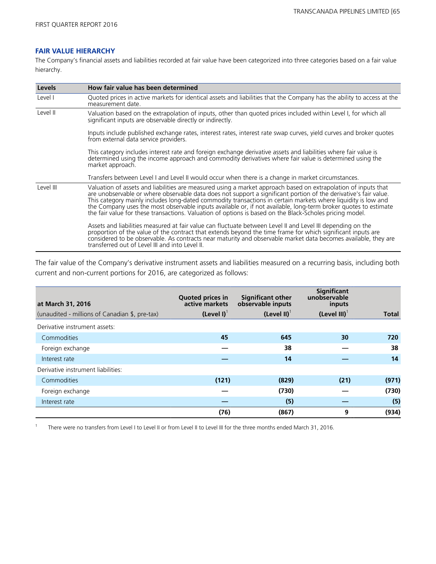#### **FAIR VALUE HIERARCHY**

The Company's financial assets and liabilities recorded at fair value have been categorized into three categories based on a fair value hierarchy.

| <b>Levels</b> | How fair value has been determined                                                                                                                                                                                                                                                                                                                                                                                                                                                                                                                                                 |
|---------------|------------------------------------------------------------------------------------------------------------------------------------------------------------------------------------------------------------------------------------------------------------------------------------------------------------------------------------------------------------------------------------------------------------------------------------------------------------------------------------------------------------------------------------------------------------------------------------|
| Level I       | Quoted prices in active markets for identical assets and liabilities that the Company has the ability to access at the<br>measurement date.                                                                                                                                                                                                                                                                                                                                                                                                                                        |
| Level II      | Valuation based on the extrapolation of inputs, other than quoted prices included within Level I, for which all<br>significant inputs are observable directly or indirectly.                                                                                                                                                                                                                                                                                                                                                                                                       |
|               | Inputs include published exchange rates, interest rates, interest rate swap curves, yield curves and broker quotes<br>from external data service providers.                                                                                                                                                                                                                                                                                                                                                                                                                        |
|               | This category includes interest rate and foreign exchange derivative assets and liabilities where fair value is<br>determined using the income approach and commodity derivatives where fair value is determined using the<br>market approach.                                                                                                                                                                                                                                                                                                                                     |
|               | Transfers between Level I and Level II would occur when there is a change in market circumstances.                                                                                                                                                                                                                                                                                                                                                                                                                                                                                 |
| Level III     | Valuation of assets and liabilities are measured using a market approach based on extrapolation of inputs that<br>are unobservable or where observable data does not support a significant portion of the derivative's fair value.<br>This category mainly includes long-dated commodity transactions in certain markets where liquidity is low and<br>the Company uses the most observable inputs available or, if not available, long-term broker quotes to estimate<br>the fair value for these transactions. Valuation of options is based on the Black-Scholes pricing model. |
|               | Assets and liabilities measured at fair value can fluctuate between Level II and Level III depending on the<br>proportion of the value of the contract that extends beyond the time frame for which significant inputs are<br>considered to be observable. As contracts near maturity and observable market data becomes available, they are<br>transferred out of Level III and into Level II.                                                                                                                                                                                    |

The fair value of the Company's derivative instrument assets and liabilities measured on a recurring basis, including both current and non-current portions for 2016, are categorized as follows:

| at March 31, 2016                              | Quoted prices in<br>active markets | <b>Significant other</b><br>observable inputs | Significant<br>unobservable<br>inputs |              |
|------------------------------------------------|------------------------------------|-----------------------------------------------|---------------------------------------|--------------|
| (unaudited - millions of Canadian \$, pre-tax) | $(Level I)^T$                      | (Level II) $^{\dagger}$                       | (Level III) $1$                       | <b>Total</b> |
| Derivative instrument assets:                  |                                    |                                               |                                       |              |
| Commodities                                    | 45                                 | 645                                           | 30                                    | 720          |
| Foreign exchange                               |                                    | 38                                            |                                       | 38           |
| Interest rate                                  |                                    | 14                                            |                                       | 14           |
| Derivative instrument liabilities:             |                                    |                                               |                                       |              |
| Commodities                                    | (121)                              | (829)                                         | (21)                                  | (971)        |
| Foreign exchange                               |                                    | (730)                                         |                                       | (730)        |
| Interest rate                                  |                                    | (5)                                           |                                       | (5)          |
|                                                | (76)                               | (867)                                         | 9                                     | (934)        |

<sup>1</sup> There were no transfers from Level I to Level II or from Level II to Level III for the three months ended March 31, 2016.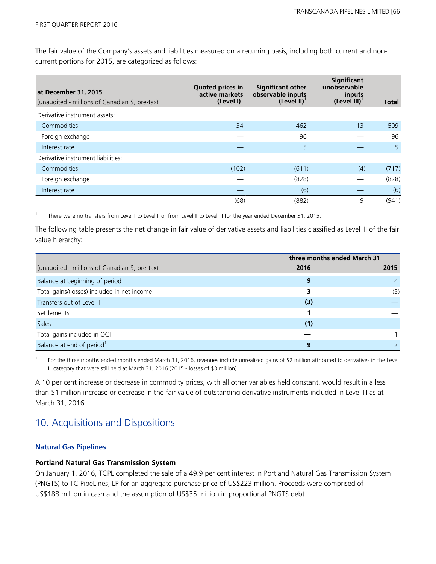The fair value of the Company's assets and liabilities measured on a recurring basis, including both current and noncurrent portions for 2015, are categorized as follows:

| at December 31, 2015<br>(unaudited - millions of Canadian \$, pre-tax) | <b>Quoted prices in</b><br>active markets<br>$(Level I)^T$ | <b>Significant other</b><br>observable inputs<br>(Level II) $1$ | Significant<br>unobservable<br>inputs<br>$(Level III)^{T}$ | <b>Total</b> |
|------------------------------------------------------------------------|------------------------------------------------------------|-----------------------------------------------------------------|------------------------------------------------------------|--------------|
| Derivative instrument assets:                                          |                                                            |                                                                 |                                                            |              |
| Commodities                                                            | 34                                                         | 462                                                             | 13                                                         | 509          |
| Foreign exchange                                                       |                                                            | 96                                                              |                                                            | 96           |
| Interest rate                                                          |                                                            | 5                                                               |                                                            | 5            |
| Derivative instrument liabilities:                                     |                                                            |                                                                 |                                                            |              |
| Commodities                                                            | (102)                                                      | (611)                                                           | (4)                                                        | (717)        |
| Foreign exchange                                                       |                                                            | (828)                                                           |                                                            | (828)        |
| Interest rate                                                          |                                                            | (6)                                                             |                                                            | (6)          |
|                                                                        | (68)                                                       | (882)                                                           | 9                                                          | (941)        |

<sup>1</sup>There were no transfers from Level I to Level II or from Level II to Level III for the year ended December 31, 2015.

The following table presents the net change in fair value of derivative assets and liabilities classified as Level III of the fair value hierarchy:

|                                                | three months ended March 31 |                |  |
|------------------------------------------------|-----------------------------|----------------|--|
| (unaudited - millions of Canadian \$, pre-tax) | 2016                        | 2015           |  |
| Balance at beginning of period                 | 9                           | $\overline{4}$ |  |
| Total gains/(losses) included in net income    | 3                           | (3)            |  |
| Transfers out of Level III                     | (3)                         |                |  |
| Settlements                                    |                             |                |  |
| <b>Sales</b>                                   | (1)                         |                |  |
| Total gains included in OCI                    |                             |                |  |
| Balance at end of period <sup>1</sup>          | 9                           |                |  |

<sup>1</sup>For the three months ended months ended March 31, 2016, revenues include unrealized gains of \$2 million attributed to derivatives in the Level III category that were still held at March 31, 2016 (2015 - losses of \$3 million).

A 10 per cent increase or decrease in commodity prices, with all other variables held constant, would result in a less than \$1 million increase or decrease in the fair value of outstanding derivative instruments included in Level III as at March 31, 2016.

### 10. Acquisitions and Dispositions

#### **Natural Gas Pipelines**

#### **Portland Natural Gas Transmission System**

On January 1, 2016, TCPL completed the sale of a 49.9 per cent interest in Portland Natural Gas Transmission System (PNGTS) to TC PipeLines, LP for an aggregate purchase price of US\$223 million. Proceeds were comprised of US\$188 million in cash and the assumption of US\$35 million in proportional PNGTS debt.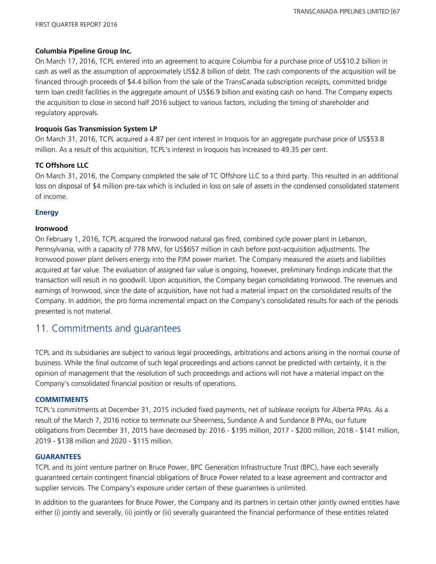#### **Columbia Pipeline Group Inc.**

On March 17, 2016, TCPL entered into an agreement to acquire Columbia for a purchase price of US\$10.2 billion in cash as well as the assumption of approximately US\$2.8 billion of debt. The cash components of the acquisition will be financed through proceeds of \$4.4 billion from the sale of the TransCanada subscription receipts, committed bridge term loan credit facilities in the aggregate amount of US\$6.9 billion and existing cash on hand. The Company expects the acquisition to close in second half 2016 subject to various factors, including the timing of shareholder and regulatory approvals.

#### **Iroquois Gas Transmission System LP**

On March 31, 2016, TCPL acquired a 4.87 per cent interest in Iroquois for an aggregate purchase price of US\$53.8 million. As a result of this acquisition, TCPL's interest in Iroquois has increased to 49.35 per cent.

#### **TC Offshore LLC**

On March 31, 2016, the Company completed the sale of TC Offshore LLC to a third party. This resulted in an additional loss on disposal of \$4 million pre-tax which is included in loss on sale of assets in the condensed consolidated statement of income.

#### **Energy**

#### **Ironwood**

On February 1, 2016, TCPL acquired the Ironwood natural gas fired, combined cycle power plant in Lebanon, Pennsylvania, with a capacity of 778 MW, for US\$657 million in cash before post-acquisition adjustments. The Ironwood power plant delivers energy into the PJM power market. The Company measured the assets and liabilities acquired at fair value. The evaluation of assigned fair value is ongoing, however, preliminary findings indicate that the transaction will result in no goodwill. Upon acquisition, the Company began consolidating Ironwood. The revenues and earnings of Ironwood, since the date of acquisition, have not had a material impact on the consolidated results of the Company. In addition, the pro forma incremental impact on the Company's consolidated results for each of the periods presented is not material.

## 11. Commitments and guarantees

TCPL and its subsidiaries are subject to various legal proceedings, arbitrations and actions arising in the normal course of business. While the final outcome of such legal proceedings and actions cannot be predicted with certainty, it is the opinion of management that the resolution of such proceedings and actions will not have a material impact on the Company's consolidated financial position or results of operations.

#### **COMMITMENTS**

TCPL's commitments at December 31, 2015 included fixed payments, net of sublease receipts for Alberta PPAs. As a result of the March 7, 2016 notice to terminate our Sheerness, Sundance A and Sundance B PPAs, our future obligations from December 31, 2015 have decreased by: 2016 - \$195 million, 2017 - \$200 million, 2018 - \$141 million, 2019 - \$138 million and 2020 - \$115 million.

#### **GUARANTEES**

TCPL and its joint venture partner on Bruce Power, BPC Generation Infrastructure Trust (BPC), have each severally guaranteed certain contingent financial obligations of Bruce Power related to a lease agreement and contractor and supplier services. The Company's exposure under certain of these guarantees is unlimited.

In addition to the guarantees for Bruce Power, the Company and its partners in certain other jointly owned entities have either (i) jointly and severally, (ii) jointly or (iii) severally guaranteed the financial performance of these entities related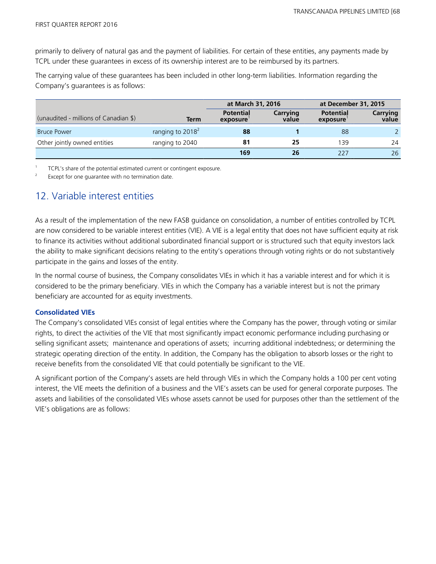primarily to delivery of natural gas and the payment of liabilities. For certain of these entities, any payments made by TCPL under these guarantees in excess of its ownership interest are to be reimbursed by its partners.

The carrying value of these guarantees has been included in other long-term liabilities. Information regarding the Company's guarantees is as follows:

|                                       |                              | at March 31, 2016            |                   | at December 31, 2015         |                   |
|---------------------------------------|------------------------------|------------------------------|-------------------|------------------------------|-------------------|
| (unaudited - millions of Canadian \$) | Term                         | <b>Potential</b><br>exposure | Carrying<br>value | <b>Potential</b><br>exposure | Carrying<br>value |
| <b>Bruce Power</b>                    | ranging to 2018 <sup>2</sup> | 88                           |                   | 88                           | $\mathcal{L}$     |
| Other jointly owned entities          | ranging to 2040              | 81                           | 25                | 139                          | 24                |
|                                       |                              | 169                          | 26                | 227                          | 26                |

<sup>1</sup>TCPL's share of the potential estimated current or contingent exposure.

Except for one guarantee with no termination date.

### 12. Variable interest entities

As a result of the implementation of the new FASB guidance on consolidation, a number of entities controlled by TCPL are now considered to be variable interest entities (VIE). A VIE is a legal entity that does not have sufficient equity at risk to finance its activities without additional subordinated financial support or is structured such that equity investors lack the ability to make significant decisions relating to the entity's operations through voting rights or do not substantively participate in the gains and losses of the entity.

In the normal course of business, the Company consolidates VIEs in which it has a variable interest and for which it is considered to be the primary beneficiary. VIEs in which the Company has a variable interest but is not the primary beneficiary are accounted for as equity investments.

#### **Consolidated VIEs**

The Company's consolidated VIEs consist of legal entities where the Company has the power, through voting or similar rights, to direct the activities of the VIE that most significantly impact economic performance including purchasing or selling significant assets; maintenance and operations of assets; incurring additional indebtedness; or determining the strategic operating direction of the entity. In addition, the Company has the obligation to absorb losses or the right to receive benefits from the consolidated VIE that could potentially be significant to the VIE.

A significant portion of the Company's assets are held through VIEs in which the Company holds a 100 per cent voting interest, the VIE meets the definition of a business and the VIE's assets can be used for general corporate purposes. The assets and liabilities of the consolidated VIEs whose assets cannot be used for purposes other than the settlement of the VIE's obligations are as follows: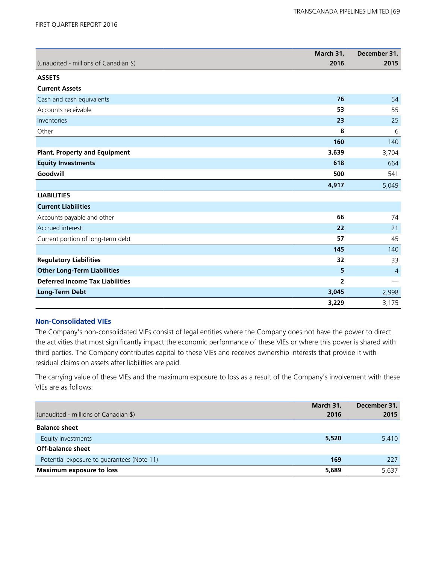|                                        | March 31,      | December 31,             |
|----------------------------------------|----------------|--------------------------|
| (unaudited - millions of Canadian \$)  | 2016           | 2015                     |
| <b>ASSETS</b>                          |                |                          |
| <b>Current Assets</b>                  |                |                          |
| Cash and cash equivalents              | 76             | 54                       |
| Accounts receivable                    | 53             | 55                       |
| Inventories                            | 23             | 25                       |
| Other                                  | 8              | 6                        |
|                                        | 160            | 140                      |
| <b>Plant, Property and Equipment</b>   | 3,639          | 3,704                    |
| <b>Equity Investments</b>              | 618            | 664                      |
| Goodwill                               | 500            | 541                      |
|                                        | 4,917          | 5,049                    |
| <b>LIABILITIES</b>                     |                |                          |
| <b>Current Liabilities</b>             |                |                          |
| Accounts payable and other             | 66             | 74                       |
| Accrued interest                       | 22             | 21                       |
| Current portion of long-term debt      | 57             | 45                       |
|                                        | 145            | 140                      |
| <b>Regulatory Liabilities</b>          | 32             | 33                       |
| <b>Other Long-Term Liabilities</b>     | 5              | $\overline{4}$           |
| <b>Deferred Income Tax Liabilities</b> | $\overline{2}$ | $\overline{\phantom{m}}$ |
| <b>Long-Term Debt</b>                  | 3,045          | 2,998                    |
|                                        | 3,229          | 3,175                    |

#### **Non-Consolidated VIEs**

The Company's non-consolidated VIEs consist of legal entities where the Company does not have the power to direct the activities that most significantly impact the economic performance of these VIEs or where this power is shared with third parties. The Company contributes capital to these VIEs and receives ownership interests that provide it with residual claims on assets after liabilities are paid.

The carrying value of these VIEs and the maximum exposure to loss as a result of the Company's involvement with these VIEs are as follows:

| (unaudited - millions of Canadian \$)      | March 31,<br>2016 | December 31,<br>2015 |
|--------------------------------------------|-------------------|----------------------|
| <b>Balance sheet</b>                       |                   |                      |
| Equity investments                         | 5,520             | 5,410                |
| Off-balance sheet                          |                   |                      |
| Potential exposure to guarantees (Note 11) | 169               | 227                  |
| <b>Maximum exposure to loss</b>            | 5,689             | 5,637                |